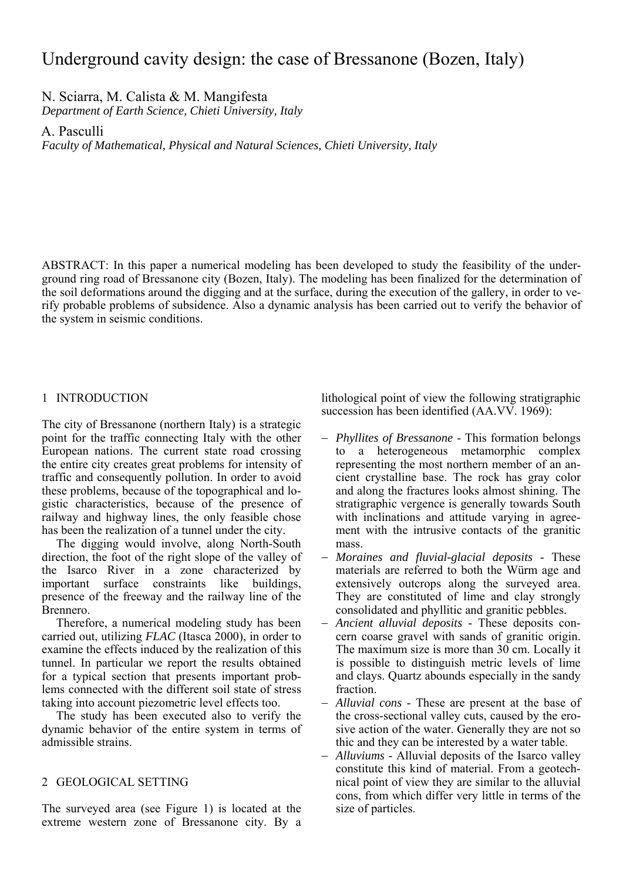# Underground cavity design: the case of Bressanone (Bozen, Italy)

N. Sciarra, M. Calista & M. Mangifesta

*Department of Earth Science, Chieti University, Italy* 

A. Pasculli

*Faculty of Mathematical, Physical and Natural Sciences, Chieti University, Italy* 

ABSTRACT: In this paper a numerical modeling has been developed to study the feasibility of the underground ring road of Bressanone city (Bozen, Italy). The modeling has been finalized for the determination of the soil deformations around the digging and at the surface, during the execution of the gallery, in order to verify probable problems of subsidence. Also a dynamic analysis has been carried out to verify the behavior of the system in seismic conditions.

## 1 INTRODUCTION

The city of Bressanone (northern Italy) is a strategic point for the traffic connecting Italy with the other European nations. The current state road crossing the entire city creates great problems for intensity of traffic and consequently pollution. In order to avoid these problems, because of the topographical and logistic characteristics, because of the presence of railway and highway lines, the only feasible chose has been the realization of a tunnel under the city.

The digging would involve, along North-South direction, the foot of the right slope of the valley of the Isarco River in a zone characterized by important surface constraints like buildings, presence of the freeway and the railway line of the Brennero.

Therefore, a numerical modeling study has been carried out, utilizing *FLAC* (Itasca 2000), in order to examine the effects induced by the realization of this tunnel. In particular we report the results obtained for a typical section that presents important problems connected with the different soil state of stress taking into account piezometric level effects too.

The study has been executed also to verify the dynamic behavior of the entire system in terms of admissible strains.

# 2 GEOLOGICAL SETTING

The surveyed area (see Figure 1) is located at the extreme western zone of Bressanone city. By a

lithological point of view the following stratigraphic succession has been identified (AA.VV. 1969):

- − *Phyllites of Bressanone* This formation belongs to a heterogeneous metamorphic complex representing the most northern member of an ancient crystalline base. The rock has gray color and along the fractures looks almost shining. The stratigraphic vergence is generally towards South with inclinations and attitude varying in agreement with the intrusive contacts of the granitic mass.
- − *Moraines and fluvial-glacial deposits* These materials are referred to both the Würm age and extensively outcrops along the surveyed area. They are constituted of lime and clay strongly consolidated and phyllitic and granitic pebbles.
- − *Ancient alluvial deposits*  These deposits concern coarse gravel with sands of granitic origin. The maximum size is more than 30 cm. Locally it is possible to distinguish metric levels of lime and clays. Quartz abounds especially in the sandy fraction.
- − *Alluvial cons* These are present at the base of the cross-sectional valley cuts, caused by the erosive action of the water. Generally they are not so thic and they can be interested by a water table.
- − *Alluviums*  Alluvial deposits of the Isarco valley constitute this kind of material. From a geotechnical point of view they are similar to the alluvial cons, from which differ very little in terms of the size of particles.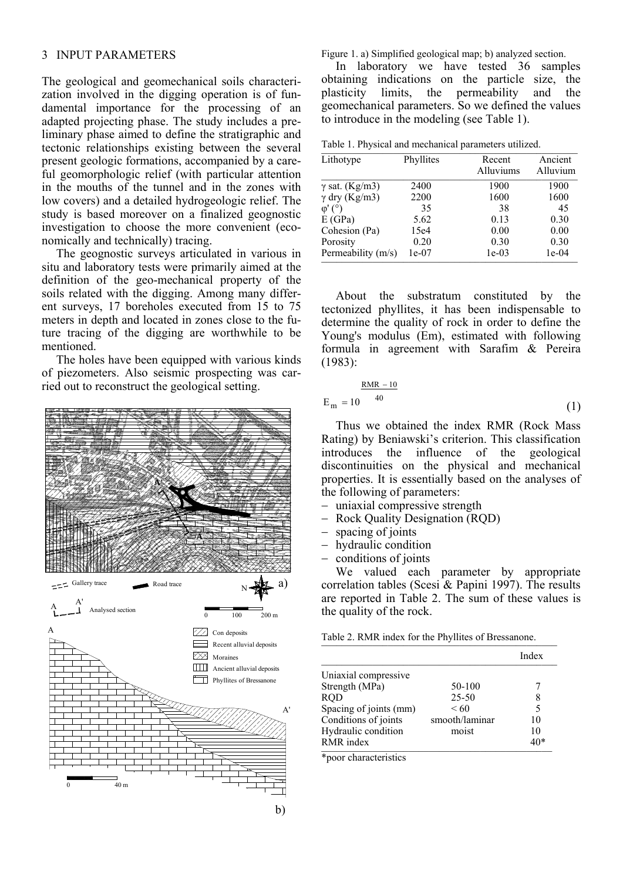### 3 INPUT PARAMETERS

The geological and geomechanical soils characterization involved in the digging operation is of fundamental importance for the processing of an adapted projecting phase. The study includes a preliminary phase aimed to define the stratigraphic and tectonic relationships existing between the several present geologic formations, accompanied by a careful geomorphologic relief (with particular attention in the mouths of the tunnel and in the zones with low covers) and a detailed hydrogeologic relief. The study is based moreover on a finalized geognostic investigation to choose the more convenient (economically and technically) tracing.

The geognostic surveys articulated in various in situ and laboratory tests were primarily aimed at the definition of the geo-mechanical property of the soils related with the digging. Among many different surveys, 17 boreholes executed from 15 to 75 meters in depth and located in zones close to the future tracing of the digging are worthwhile to be mentioned.

The holes have been equipped with various kinds of piezometers. Also seismic prospecting was carried out to reconstruct the geological setting.



Figure 1. a) Simplified geological map; b) analyzed section.

In laboratory we have tested 36 samples obtaining indications on the particle size, the plasticity limits, the permeability and the geomechanical parameters. So we defined the values to introduce in the modeling (see Table 1).

|  |  |  |  | Table 1. Physical and mechanical parameters utilized. |  |
|--|--|--|--|-------------------------------------------------------|--|
|--|--|--|--|-------------------------------------------------------|--|

| Lithotype              | Phyllites | Recent<br>Alluviums | Ancient<br>Alluvium |
|------------------------|-----------|---------------------|---------------------|
| $\gamma$ sat. (Kg/m3)  | 2400      | 1900                | 1900                |
| $\gamma$ dry (Kg/m3)   | 2200      | 1600                | 1600                |
| $\varphi'$ ( $\circ$ ) | 35        | 38                  | 45                  |
| E(GPa)                 | 5.62      | 0.13                | 0.30                |
| Cohesion (Pa)          | 15e4      | 0.00                | 0.00                |
| Porosity               | 0.20      | 0.30                | 0.30                |
| Permeability (m/s)     | $1e-07$   | $1e-03$             | $1e-04$             |

About the substratum constituted by the tectonized phyllites, it has been indispensable to determine the quality of rock in order to define the Young's modulus (Em), estimated with following formula in agreement with Sarafim & Pereira (1983):

$$
E_m = 10^{-40}
$$
 (1)

Thus we obtained the index RMR (Rock Mass Rating) by Beniawski's criterion. This classification introduces the influence of the geological discontinuities on the physical and mechanical properties. It is essentially based on the analyses of the following of parameters:

- − uniaxial compressive strength
- − Rock Quality Designation (RQD)
- − spacing of joints
- − hydraulic condition
- − conditions of joints

We valued each parameter by appropriate correlation tables (Scesi & Papini 1997). The results are reported in Table 2. The sum of these values is the quality of the rock.

| Table 2. RMR index for the Phyllites of Bressanone. |  |
|-----------------------------------------------------|--|
|-----------------------------------------------------|--|

|                        |                | Index |
|------------------------|----------------|-------|
| Uniaxial compressive   |                |       |
| Strength (MPa)         | 50-100         |       |
| <b>ROD</b>             | 25-50          | 8     |
| Spacing of joints (mm) | <60            | 5     |
| Conditions of joints   | smooth/laminar | 10    |
| Hydraulic condition    | moist          | 10    |
| RMR index              |                | 40*   |

\*poor characteristics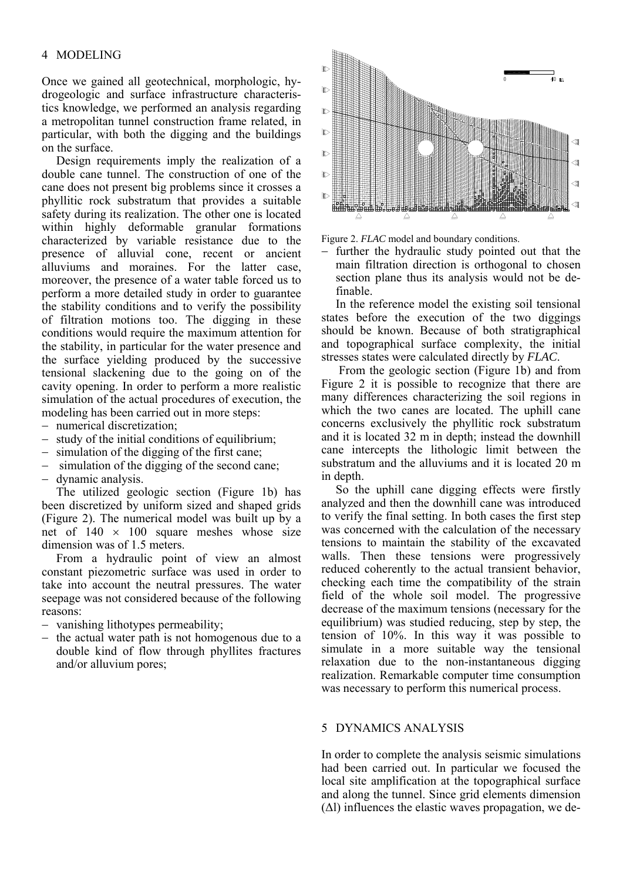## 4 MODELING

Once we gained all geotechnical, morphologic, hydrogeologic and surface infrastructure characteristics knowledge, we performed an analysis regarding a metropolitan tunnel construction frame related, in particular, with both the digging and the buildings on the surface.

Design requirements imply the realization of a double cane tunnel. The construction of one of the cane does not present big problems since it crosses a phyllitic rock substratum that provides a suitable safety during its realization. The other one is located within highly deformable granular formations characterized by variable resistance due to the presence of alluvial cone, recent or ancient alluviums and moraines. For the latter case, moreover, the presence of a water table forced us to perform a more detailed study in order to guarantee the stability conditions and to verify the possibility of filtration motions too. The digging in these conditions would require the maximum attention for the stability, in particular for the water presence and the surface yielding produced by the successive tensional slackening due to the going on of the cavity opening. In order to perform a more realistic simulation of the actual procedures of execution, the modeling has been carried out in more steps:

- numerical discretization:
- study of the initial conditions of equilibrium;
- simulation of the digging of the first cane;
- simulation of the digging of the second cane;
- − dynamic analysis.

The utilized geologic section (Figure 1b) has been discretized by uniform sized and shaped grids (Figure 2). The numerical model was built up by a net of  $140 \times 100$  square meshes whose size dimension was of 1.5 meters.

From a hydraulic point of view an almost constant piezometric surface was used in order to take into account the neutral pressures. The water seepage was not considered because of the following reasons:

- − vanishing lithotypes permeability;
- − the actual water path is not homogenous due to a double kind of flow through phyllites fractures and/or alluvium pores;



Figure 2. *FLAC* model and boundary conditions.

− further the hydraulic study pointed out that the main filtration direction is orthogonal to chosen section plane thus its analysis would not be definable.

In the reference model the existing soil tensional states before the execution of the two diggings should be known. Because of both stratigraphical and topographical surface complexity, the initial stresses states were calculated directly by *FLAC*.

 From the geologic section (Figure 1b) and from Figure 2 it is possible to recognize that there are many differences characterizing the soil regions in which the two canes are located. The uphill cane concerns exclusively the phyllitic rock substratum and it is located 32 m in depth; instead the downhill cane intercepts the lithologic limit between the substratum and the alluviums and it is located 20 m in depth.

So the uphill cane digging effects were firstly analyzed and then the downhill cane was introduced to verify the final setting. In both cases the first step was concerned with the calculation of the necessary tensions to maintain the stability of the excavated walls. Then these tensions were progressively reduced coherently to the actual transient behavior, checking each time the compatibility of the strain field of the whole soil model. The progressive decrease of the maximum tensions (necessary for the equilibrium) was studied reducing, step by step, the tension of 10%. In this way it was possible to simulate in a more suitable way the tensional relaxation due to the non-instantaneous digging realization. Remarkable computer time consumption was necessary to perform this numerical process.

#### 5 DYNAMICS ANALYSIS

In order to complete the analysis seismic simulations had been carried out. In particular we focused the local site amplification at the topographical surface and along the tunnel. Since grid elements dimension  $(\Delta l)$  influences the elastic waves propagation, we de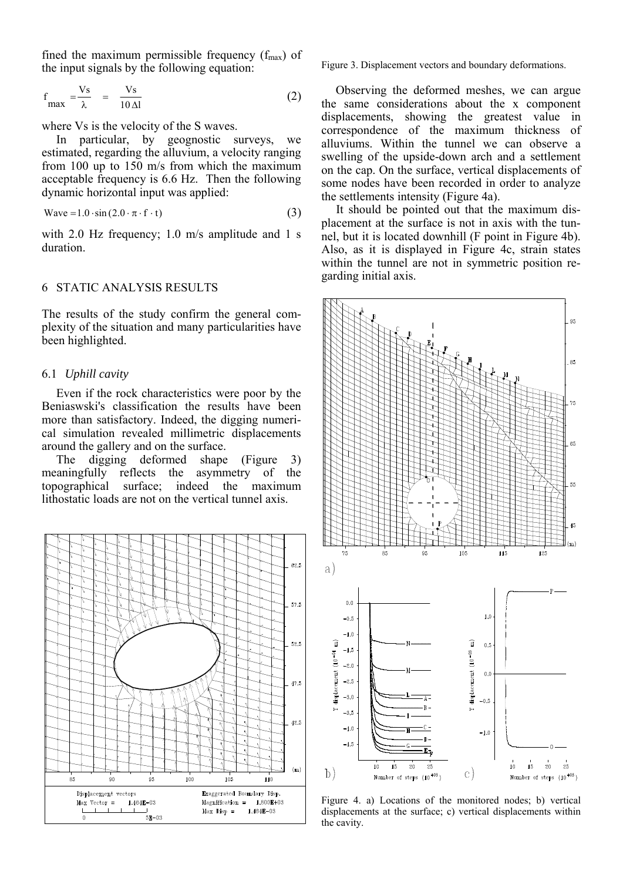fined the maximum permissible frequency  $(f_{\text{max}})$  of the input signals by the following equation:

$$
f_{\text{max}} = \frac{V_s}{\lambda} = \frac{V_s}{10 \,\Delta l} \tag{2}
$$

where Vs is the velocity of the S waves.

In particular, by geognostic surveys, we estimated, regarding the alluvium, a velocity ranging from 100 up to 150 m/s from which the maximum acceptable frequency is 6.6 Hz. Then the following dynamic horizontal input was applied:

$$
Wave = 1.0 \cdot sin(2.0 \cdot \pi \cdot f \cdot t)
$$
 (3)

with 2.0 Hz frequency; 1.0 m/s amplitude and 1 s duration.

# 6 STATIC ANALYSIS RESULTS

The results of the study confirm the general complexity of the situation and many particularities have been highlighted.

#### 6.1 *Uphill cavity*

Even if the rock characteristics were poor by the Beniaswski's classification the results have been more than satisfactory. Indeed, the digging numerical simulation revealed millimetric displacements around the gallery and on the surface.

The digging deformed shape (Figure 3) meaningfully reflects the asymmetry of the topographical surface; indeed the maximum lithostatic loads are not on the vertical tunnel axis.



Figure 3. Displacement vectors and boundary deformations.

Observing the deformed meshes, we can argue the same considerations about the x component displacements, showing the greatest value in correspondence of the maximum thickness of alluviums. Within the tunnel we can observe a swelling of the upside-down arch and a settlement on the cap. On the surface, vertical displacements of some nodes have been recorded in order to analyze the settlements intensity (Figure 4a).

It should be pointed out that the maximum displacement at the surface is not in axis with the tunnel, but it is located downhill (F point in Figure 4b). Also, as it is displayed in Figure 4c, strain states within the tunnel are not in symmetric position regarding initial axis.



Figure 4. a) Locations of the monitored nodes; b) vertical displacements at the surface; c) vertical displacements within the cavity.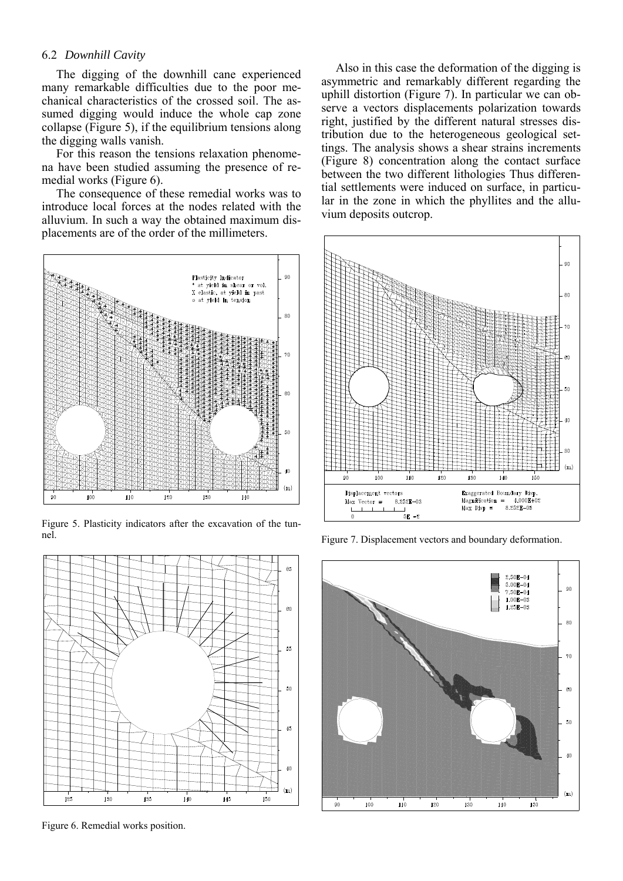#### 6.2 *Downhill Cavity*

The digging of the downhill cane experienced many remarkable difficulties due to the poor mechanical characteristics of the crossed soil. The assumed digging would induce the whole cap zone collapse (Figure 5), if the equilibrium tensions along the digging walls vanish.

For this reason the tensions relaxation phenomena have been studied assuming the presence of remedial works (Figure 6).

The consequence of these remedial works was to introduce local forces at the nodes related with the alluvium. In such a way the obtained maximum displacements are of the order of the millimeters.



Figure 5. Plasticity indicators after the excavation of the tunnel.



Figure 6. Remedial works position.

Also in this case the deformation of the digging is asymmetric and remarkably different regarding the uphill distortion (Figure 7). In particular we can observe a vectors displacements polarization towards right, justified by the different natural stresses distribution due to the heterogeneous geological settings. The analysis shows a shear strains increments (Figure 8) concentration along the contact surface between the two different lithologies Thus differential settlements were induced on surface, in particular in the zone in which the phyllites and the alluvium deposits outcrop.



Figure 7. Displacement vectors and boundary deformation.

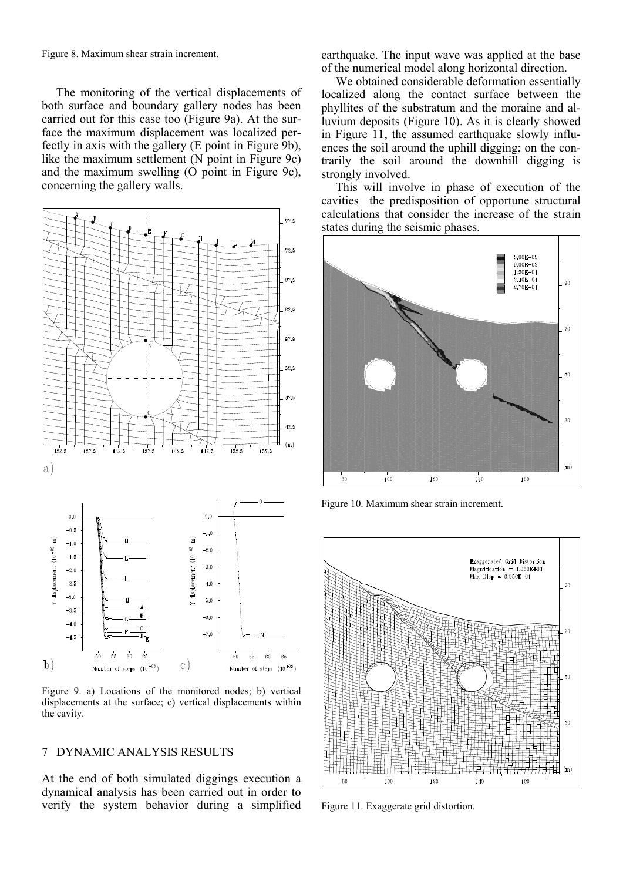Figure 8. Maximum shear strain increment.

The monitoring of the vertical displacements of both surface and boundary gallery nodes has been carried out for this case too (Figure 9a). At the surface the maximum displacement was localized perfectly in axis with the gallery (E point in Figure 9b), like the maximum settlement (N point in Figure 9c) and the maximum swelling (O point in Figure 9c), concerning the gallery walls.



Figure 9. a) Locations of the monitored nodes; b) vertical displacements at the surface; c) vertical displacements within the cavity.

### 7 DYNAMIC ANALYSIS RESULTS

At the end of both simulated diggings execution a dynamical analysis has been carried out in order to verify the system behavior during a simplified earthquake. The input wave was applied at the base of the numerical model along horizontal direction.

We obtained considerable deformation essentially localized along the contact surface between the phyllites of the substratum and the moraine and alluvium deposits (Figure 10). As it is clearly showed in Figure 11, the assumed earthquake slowly influences the soil around the uphill digging; on the contrarily the soil around the downhill digging is strongly involved.

This will involve in phase of execution of the cavities the predisposition of opportune structural calculations that consider the increase of the strain states during the seismic phases.



Figure 10. Maximum shear strain increment.



Figure 11. Exaggerate grid distortion.